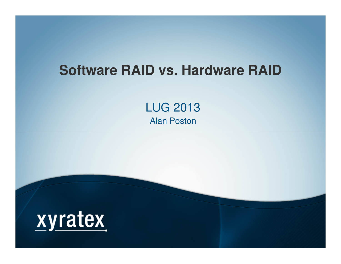#### **Software RAID vs. Hardware RAID**

LUG 2013Alan Poston

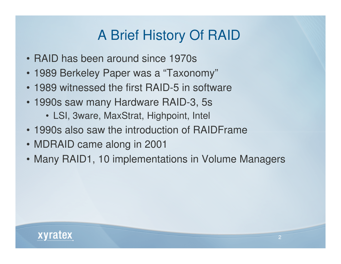## A Brief History Of RAID

- RAID has been around since 1970s
- 1989 Berkeley Paper was a "Taxonomy"
- 1989 witnessed the first RAID-5 in software
- 1990s saw many Hardware RAID-3, 5s
	- LSI, 3ware, MaxStrat, Highpoint, Intel
- 1990s also saw the introduction of RAIDFrame
- MDRAID came along in 2001
- Many RAID1, 10 implementations in Volume Managers

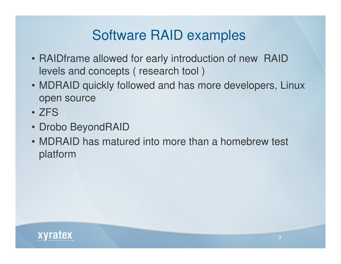## Software RAID examples

- RAIDframe allowed for early introduction of new RAID levels and concepts ( research tool )
- MDRAID quickly followed and has more developers, Linux open source
- ZFS
- Drobo BeyondRAID
- MDRAID has matured into more than a homebrew test platform

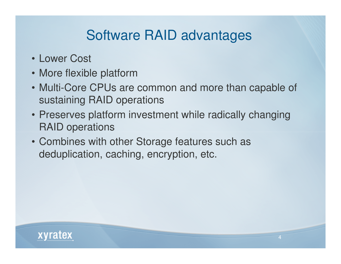## Software RAID advantages

- Lower Cost
- More flexible platform
- Multi-Core CPUs are common and more than capable of sustaining RAID operations
- Preserves platform investment while radically changing RAID operations
- Combines with other Storage features such as deduplication, caching, encryption, etc.

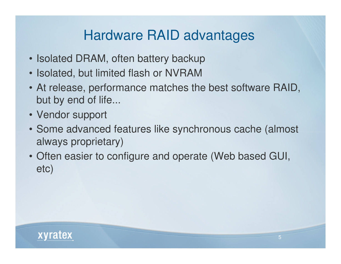## Hardware RAID advantages

- Isolated DRAM, often battery backup
- Isolated, but limited flash or NVRAM
- At release, performance matches the best software RAID, but by end of life...
- Vendor support
- Some advanced features like synchronous cache (almost always proprietary)
- Often easier to configure and operate (Web based GUI, etc)

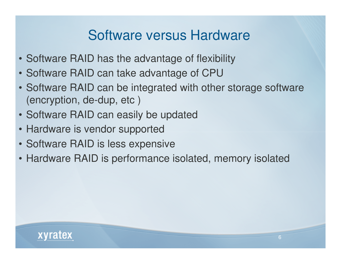### Software versus Hardware

- Software RAID has the advantage of flexibility
- Software RAID can take advantage of CPU
- Software RAID can be integrated with other storage software (encryption, de-dup, etc )
- Software RAID can easily be updated
- Hardware is vendor supported
- Software RAID is less expensive
- Hardware RAID is performance isolated, memory isolated

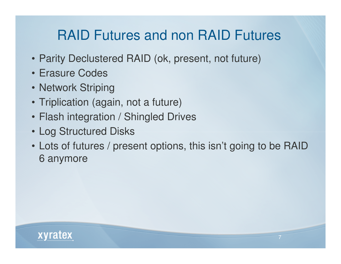## RAID Futures and non RAID Futures

- Parity Declustered RAID (ok, present, not future)
- Erasure Codes
- Network Striping
- Triplication (again, not a future)
- Flash integration / Shingled Drives
- Log Structured Disks
- Lots of futures / present options, this isn't going to be RAID 6 anymore

7

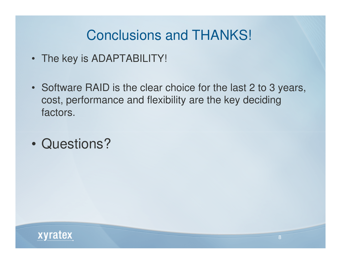## Conclusions and THANKS!

- The key is ADAPTABILITY!
- Software RAID is the clear choice for the last 2 to 3 years, cost, performance and flexibility are the key deciding factors.
- $\bullet$ Questions?